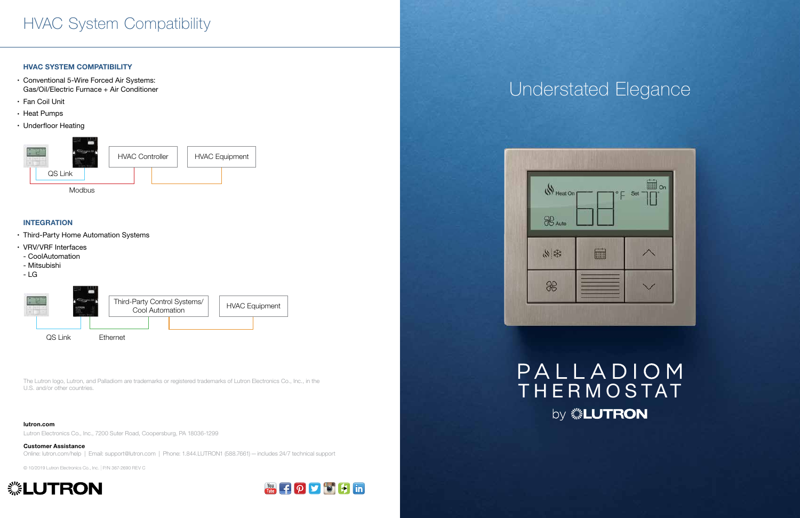# Understated Elegance



## PALLADIOM THERMOSTAT by *※LUTRON*

### HVAC System Compatibility

### HVAC SYSTEM COMPATIBILITY

- Conventional 5-Wire Forced Air Systems: Gas/Oil/Electric Furnace + Air Conditioner
- Fan Coil Unit
- Heat Pumps
- Underfloor Heating

### INTEGRATION

- Third-Party Home Automation Systems
- VRV/VRF Interfaces
- CoolAutomation
- Mitsubishi
- LG





#### lutron.com

Lutron Electronics Co., Inc., 7200 Suter Road, Coopersburg, PA 18036-1299

Customer Assistance Online: lutron.com/help | Email: support@lutron.com | Phone: 1.844.LUTRON1 (588.7661)—includes 24/7 technical support

© 10/2019 Lutron Electronics Co., Inc. | P/N 367-2690 REV C





The Lutron logo, Lutron, and Palladiom are trademarks or registered trademarks of Lutron Electronics Co., Inc., in the U.S. and/or other countries.